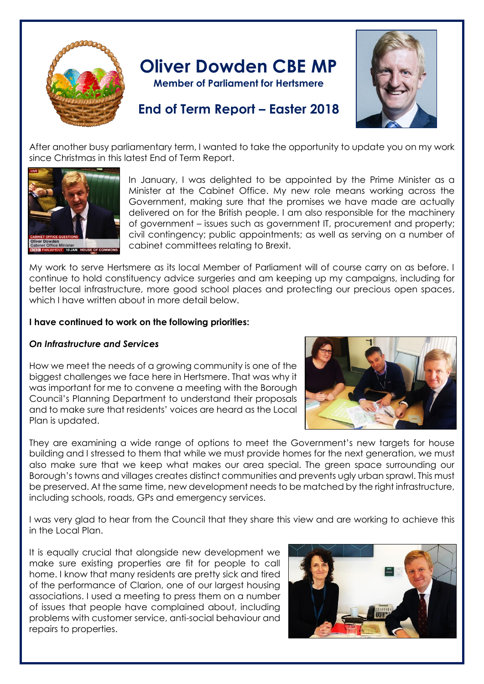

# **Oliver Dowden CBE MP**

**Member of Parliament for Hertsmere**



# **End of Term Report – Easter 2018**

After another busy parliamentary term, I wanted to take the opportunity to update you on my work since Christmas in this latest End of Term Report.



In January, I was delighted to be appointed by the Prime Minister as a Minister at the Cabinet Office. My new role means working across the Government, making sure that the promises we have made are actually delivered on for the British people. I am also responsible for the machinery of government – issues such as government IT, procurement and property; civil contingency; public appointments; as well as serving on a number of cabinet committees relating to Brexit.

My work to serve Hertsmere as its local Member of Parliament will of course carry on as before. I continue to hold constituency advice surgeries and am keeping up my campaigns, including for better local infrastructure, more good school places and protecting our precious open spaces, which I have written about in more detail below.

# **I have continued to work on the following priorities:**

# *On Infrastructure and Services*

How we meet the needs of a growing community is one of the biggest challenges we face here in Hertsmere. That was why it was important for me to convene a meeting with the Borough Council's Planning Department to understand their proposals and to make sure that residents' voices are heard as the Local Plan is updated.



They are examining a wide range of options to meet the Government's new targets for house building and I stressed to them that while we must provide homes for the next generation, we must also make sure that we keep what makes our area special. The green space surrounding our Borough's towns and villages creates distinct communities and prevents ugly urban sprawl. This must be preserved. At the same time, new development needs to be matched by the right infrastructure, including schools, roads, GPs and emergency services.

I was very glad to hear from the Council that they share this view and are working to achieve this in the Local Plan.

It is equally crucial that alongside new development we make sure existing properties are fit for people to call home. I know that many residents are pretty sick and tired of the performance of Clarion, one of our largest housing associations. I used a meeting to press them on a number of issues that people have complained about, including problems with customer service, anti-social behaviour and repairs to properties.

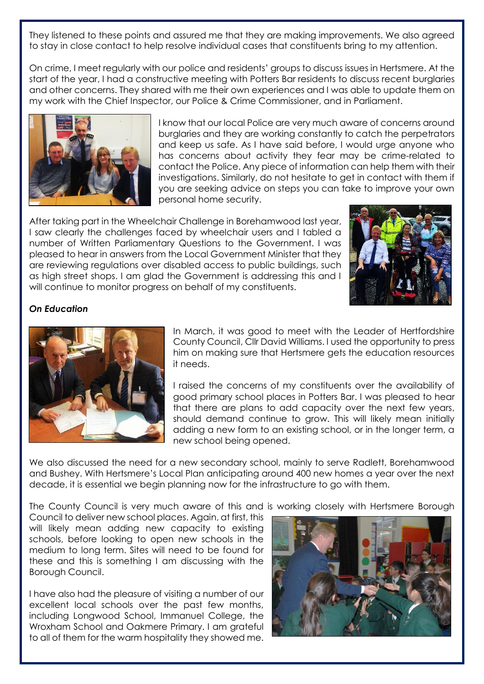They listened to these points and assured me that they are making improvements. We also agreed to stay in close contact to help resolve individual cases that constituents bring to my attention.

On crime, I meet regularly with our police and residents' groups to discuss issues in Hertsmere. At the start of the year, I had a constructive meeting with Potters Bar residents to discuss recent burglaries and other concerns. They shared with me their own experiences and I was able to update them on my work with the Chief Inspector, our Police & Crime Commissioner, and in Parliament.



I know that our local Police are very much aware of concerns around burglaries and they are working constantly to catch the perpetrators and keep us safe. As I have said before, I would urge anyone who has concerns about activity they fear may be crime-related to contact the Police. Any piece of information can help them with their investigations. Similarly, do not hesitate to get in contact with them if you are seeking advice on steps you can take to improve your own personal home security.

After taking part in the Wheelchair Challenge in Borehamwood last year, I saw clearly the challenges faced by wheelchair users and I tabled a number of Written Parliamentary Questions to the Government. I was pleased to hear in answers from the Local Government Minister that they are reviewing regulations over disabled access to public buildings, such as high street shops. I am glad the Government is addressing this and I will continue to monitor progress on behalf of my constituents.



# *On Education*



In March, it was good to meet with the Leader of Hertfordshire County Council, Cllr David Williams. I used the opportunity to press him on making sure that Hertsmere gets the education resources it needs.

I raised the concerns of my constituents over the availability of good primary school places in Potters Bar. I was pleased to hear that there are plans to add capacity over the next few years, should demand continue to grow. This will likely mean initially adding a new form to an existing school, or in the longer term, a new school being opened.

We also discussed the need for a new secondary school, mainly to serve Radlett, Borehamwood and Bushey. With Hertsmere's Local Plan anticipating around 400 new homes a year over the next decade, it is essential we begin planning now for the infrastructure to go with them.

The County Council is very much aware of this and is working closely with Hertsmere Borough

Council to deliver new school places. Again, at first, this will likely mean adding new capacity to existing schools, before looking to open new schools in the medium to long term. Sites will need to be found for these and this is something I am discussing with the Borough Council.

I have also had the pleasure of visiting a number of our excellent local schools over the past few months, including Longwood School, Immanuel College, the Wroxham School and Oakmere Primary. I am grateful to all of them for the warm hospitality they showed me.

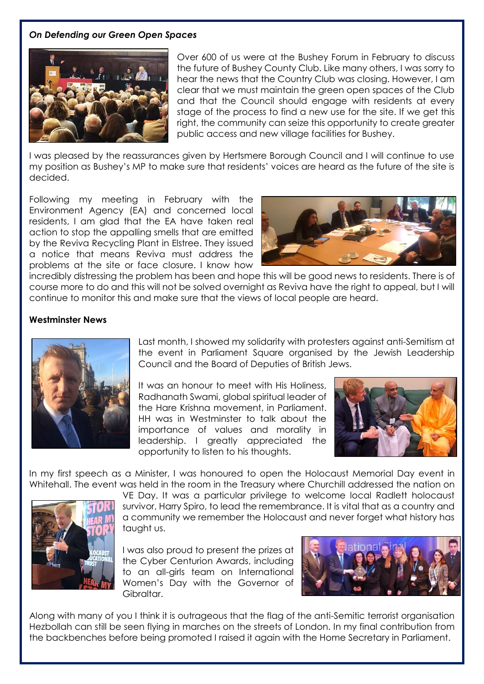#### *On Defending our Green Open Spaces*



Over 600 of us were at the Bushey Forum in February to discuss the future of Bushey County Club. Like many others, I was sorry to hear the news that the Country Club was closing. However, I am clear that we must maintain the green open spaces of the Club and that the Council should engage with residents at every stage of the process to find a new use for the site. If we get this right, the community can seize this opportunity to create greater public access and new village facilities for Bushey.

I was pleased by the reassurances given by Hertsmere Borough Council and I will continue to use my position as Bushey's MP to make sure that residents' voices are heard as the future of the site is decided.

Following my meeting in February with the Environment Agency (EA) and concerned local residents, I am glad that the EA have taken real action to stop the appalling smells that are emitted by the Reviva Recycling Plant in Elstree. They issued a notice that means Reviva must address the problems at the site or face closure. I know how



incredibly distressing the problem has been and hope this will be good news to residents. There is of course more to do and this will not be solved overnight as Reviva have the right to appeal, but I will continue to monitor this and make sure that the views of local people are heard.

#### **Westminster News**



Last month, I showed my solidarity with protesters against anti-Semitism at the event in Parliament Square organised by the Jewish Leadership Council and the Board of Deputies of British Jews.

It was an honour to meet with His Holiness, Radhanath Swami, global spiritual leader of the Hare Krishna movement, in Parliament. HH was in Westminster to talk about the importance of values and morality in leadership. I greatly appreciated the opportunity to listen to his thoughts.



In my first speech as a Minister, I was honoured to open the Holocaust Memorial Day event in Whitehall. The event was held in the room in the Treasury where Churchill addressed the nation on



VE Day. It was a particular privilege to welcome local Radlett holocaust survivor, Harry Spiro, to lead the remembrance. It is vital that as a country and a community we remember the Holocaust and never forget what history has taught us.

I was also proud to present the prizes at the Cyber Centurion Awards, including to an all-girls team on International Women's Day with the Governor of Gibraltar.



Along with many of you I think it is outrageous that the flag of the anti-Semitic terrorist organisation Hezbollah can still be seen flying in marches on the streets of London. In my final contribution from the backbenches before being promoted I raised it again with the Home Secretary in Parliament.